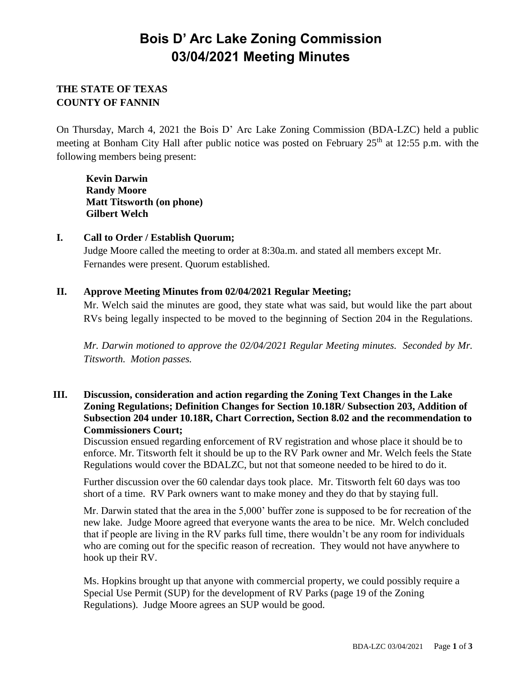# **Bois D' Arc Lake Zoning Commission 03/04/2021 Meeting Minutes**

## **THE STATE OF TEXAS COUNTY OF FANNIN**

On Thursday, March 4, 2021 the Bois D' Arc Lake Zoning Commission (BDA-LZC) held a public meeting at Bonham City Hall after public notice was posted on February  $25<sup>th</sup>$  at 12:55 p.m. with the following members being present:

**Kevin Darwin Randy Moore Matt Titsworth (on phone) Gilbert Welch**

### **I. Call to Order / Establish Quorum;**

Judge Moore called the meeting to order at 8:30a.m. and stated all members except Mr. Fernandes were present. Quorum established.

#### **II. Approve Meeting Minutes from 02/04/2021 Regular Meeting;**

Mr. Welch said the minutes are good, they state what was said, but would like the part about RVs being legally inspected to be moved to the beginning of Section 204 in the Regulations.

*Mr. Darwin motioned to approve the 02/04/2021 Regular Meeting minutes. Seconded by Mr. Titsworth. Motion passes.*

#### **III. Discussion, consideration and action regarding the Zoning Text Changes in the Lake Zoning Regulations; Definition Changes for Section 10.18R/ Subsection 203, Addition of Subsection 204 under 10.18R, Chart Correction, Section 8.02 and the recommendation to Commissioners Court;**

Discussion ensued regarding enforcement of RV registration and whose place it should be to enforce. Mr. Titsworth felt it should be up to the RV Park owner and Mr. Welch feels the State Regulations would cover the BDALZC, but not that someone needed to be hired to do it.

Further discussion over the 60 calendar days took place. Mr. Titsworth felt 60 days was too short of a time. RV Park owners want to make money and they do that by staying full.

Mr. Darwin stated that the area in the 5,000' buffer zone is supposed to be for recreation of the new lake. Judge Moore agreed that everyone wants the area to be nice. Mr. Welch concluded that if people are living in the RV parks full time, there wouldn't be any room for individuals who are coming out for the specific reason of recreation. They would not have anywhere to hook up their RV.

Ms. Hopkins brought up that anyone with commercial property, we could possibly require a Special Use Permit (SUP) for the development of RV Parks (page 19 of the Zoning Regulations). Judge Moore agrees an SUP would be good.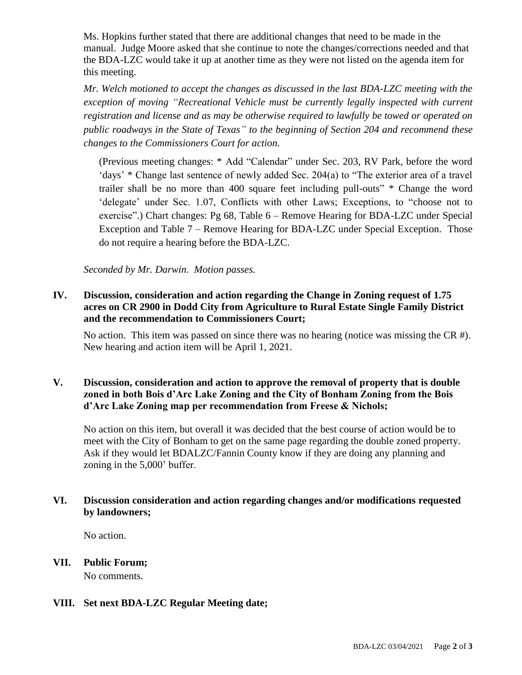Ms. Hopkins further stated that there are additional changes that need to be made in the manual. Judge Moore asked that she continue to note the changes/corrections needed and that the BDA-LZC would take it up at another time as they were not listed on the agenda item for this meeting.

*Mr. Welch motioned to accept the changes as discussed in the last BDA-LZC meeting with the exception of moving "Recreational Vehicle must be currently legally inspected with current registration and license and as may be otherwise required to lawfully be towed or operated on public roadways in the State of Texas" to the beginning of Section 204 and recommend these changes to the Commissioners Court for action.* 

(Previous meeting changes: \* Add "Calendar" under Sec. 203, RV Park, before the word 'days' \* Change last sentence of newly added Sec. 204(a) to "The exterior area of a travel trailer shall be no more than 400 square feet including pull-outs" \* Change the word 'delegate' under Sec. 1.07, Conflicts with other Laws; Exceptions, to "choose not to exercise".) Chart changes: Pg 68, Table 6 – Remove Hearing for BDA-LZC under Special Exception and Table 7 – Remove Hearing for BDA-LZC under Special Exception. Those do not require a hearing before the BDA-LZC.

*Seconded by Mr. Darwin. Motion passes.*

#### **IV. Discussion, consideration and action regarding the Change in Zoning request of 1.75 acres on CR 2900 in Dodd City from Agriculture to Rural Estate Single Family District and the recommendation to Commissioners Court;**

No action. This item was passed on since there was no hearing (notice was missing the  $CR \#$ ). New hearing and action item will be April 1, 2021.

### **V. Discussion, consideration and action to approve the removal of property that is double zoned in both Bois d'Arc Lake Zoning and the City of Bonham Zoning from the Bois d'Arc Lake Zoning map per recommendation from Freese & Nichols;**

No action on this item, but overall it was decided that the best course of action would be to meet with the City of Bonham to get on the same page regarding the double zoned property. Ask if they would let BDALZC/Fannin County know if they are doing any planning and zoning in the 5,000' buffer.

#### **VI. Discussion consideration and action regarding changes and/or modifications requested by landowners;**

No action.

**VII. Public Forum;**

No comments.

### **VIII. Set next BDA-LZC Regular Meeting date;**